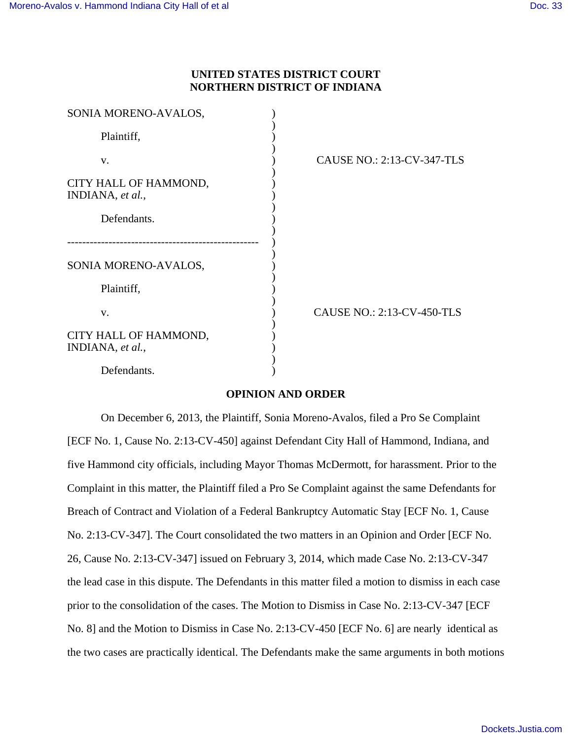# **UNITED STATES DISTRICT COURT NORTHERN DISTRICT OF INDIANA**

| SONIA MORENO-AVALOS,                      |                                   |
|-------------------------------------------|-----------------------------------|
| Plaintiff,                                |                                   |
| V.                                        | <b>CAUSE NO.: 2:13-CV-347-TLS</b> |
| CITY HALL OF HAMMOND,<br>INDIANA, et al., |                                   |
| Defendants.                               |                                   |
|                                           |                                   |
| SONIA MORENO-AVALOS,                      |                                   |
| Plaintiff,                                |                                   |
| V.                                        | <b>CAUSE NO.: 2:13-CV-450-TLS</b> |
| CITY HALL OF HAMMOND,<br>INDIANA, et al., |                                   |
| Defendants.                               |                                   |

### **OPINION AND ORDER**

On December 6, 2013, the Plaintiff, Sonia Moreno-Avalos, filed a Pro Se Complaint [ECF No. 1, Cause No. 2:13-CV-450] against Defendant City Hall of Hammond, Indiana, and five Hammond city officials, including Mayor Thomas McDermott, for harassment. Prior to the Complaint in this matter, the Plaintiff filed a Pro Se Complaint against the same Defendants for Breach of Contract and Violation of a Federal Bankruptcy Automatic Stay [ECF No. 1, Cause No. 2:13-CV-347]. The Court consolidated the two matters in an Opinion and Order [ECF No. 26, Cause No. 2:13-CV-347] issued on February 3, 2014, which made Case No. 2:13-CV-347 the lead case in this dispute. The Defendants in this matter filed a motion to dismiss in each case prior to the consolidation of the cases. The Motion to Dismiss in Case No. 2:13-CV-347 [ECF No. 8] and the Motion to Dismiss in Case No. 2:13-CV-450 [ECF No. 6] are nearly identical as the two cases are practically identical. The Defendants make the same arguments in both motions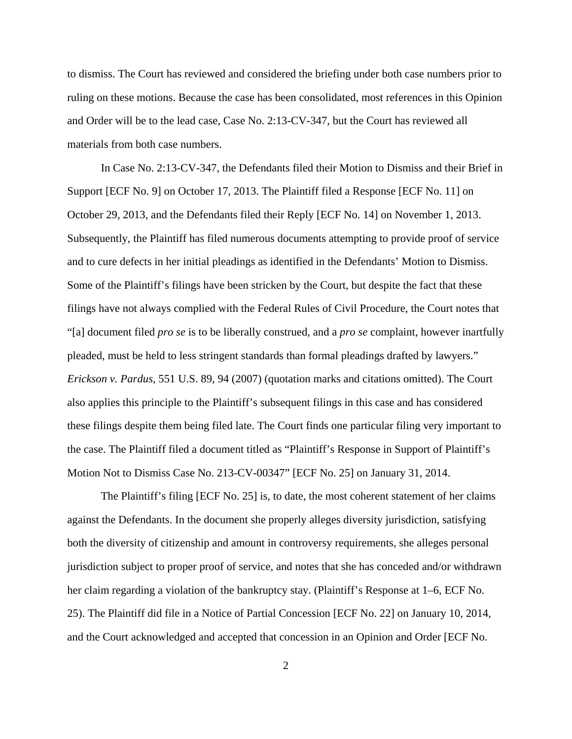to dismiss. The Court has reviewed and considered the briefing under both case numbers prior to ruling on these motions. Because the case has been consolidated, most references in this Opinion and Order will be to the lead case, Case No. 2:13-CV-347, but the Court has reviewed all materials from both case numbers.

In Case No. 2:13-CV-347, the Defendants filed their Motion to Dismiss and their Brief in Support [ECF No. 9] on October 17, 2013. The Plaintiff filed a Response [ECF No. 11] on October 29, 2013, and the Defendants filed their Reply [ECF No. 14] on November 1, 2013. Subsequently, the Plaintiff has filed numerous documents attempting to provide proof of service and to cure defects in her initial pleadings as identified in the Defendants' Motion to Dismiss. Some of the Plaintiff's filings have been stricken by the Court, but despite the fact that these filings have not always complied with the Federal Rules of Civil Procedure, the Court notes that "[a] document filed *pro se* is to be liberally construed, and a *pro se* complaint, however inartfully pleaded, must be held to less stringent standards than formal pleadings drafted by lawyers." *Erickson v. Pardus*, 551 U.S. 89, 94 (2007) (quotation marks and citations omitted). The Court also applies this principle to the Plaintiff's subsequent filings in this case and has considered these filings despite them being filed late. The Court finds one particular filing very important to the case. The Plaintiff filed a document titled as "Plaintiff's Response in Support of Plaintiff's Motion Not to Dismiss Case No. 213-CV-00347" [ECF No. 25] on January 31, 2014.

The Plaintiff's filing [ECF No. 25] is, to date, the most coherent statement of her claims against the Defendants. In the document she properly alleges diversity jurisdiction, satisfying both the diversity of citizenship and amount in controversy requirements, she alleges personal jurisdiction subject to proper proof of service, and notes that she has conceded and/or withdrawn her claim regarding a violation of the bankruptcy stay. (Plaintiff's Response at 1–6, ECF No. 25). The Plaintiff did file in a Notice of Partial Concession [ECF No. 22] on January 10, 2014, and the Court acknowledged and accepted that concession in an Opinion and Order [ECF No.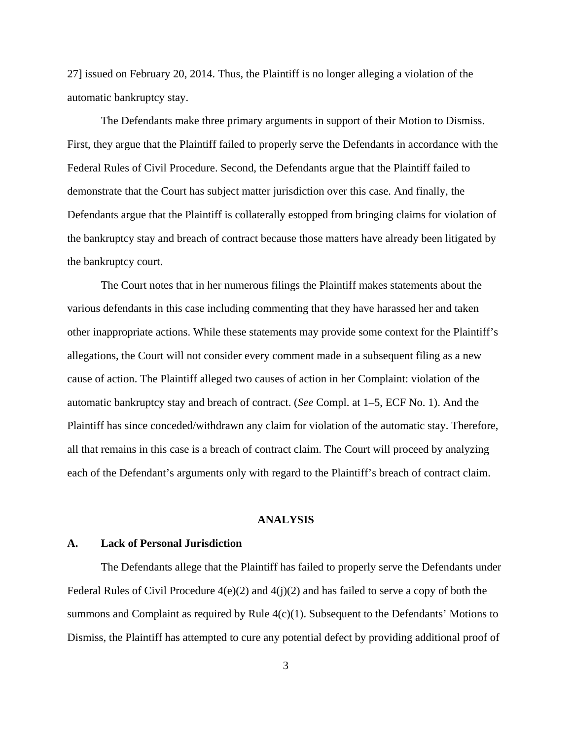27] issued on February 20, 2014. Thus, the Plaintiff is no longer alleging a violation of the automatic bankruptcy stay.

The Defendants make three primary arguments in support of their Motion to Dismiss. First, they argue that the Plaintiff failed to properly serve the Defendants in accordance with the Federal Rules of Civil Procedure. Second, the Defendants argue that the Plaintiff failed to demonstrate that the Court has subject matter jurisdiction over this case. And finally, the Defendants argue that the Plaintiff is collaterally estopped from bringing claims for violation of the bankruptcy stay and breach of contract because those matters have already been litigated by the bankruptcy court.

The Court notes that in her numerous filings the Plaintiff makes statements about the various defendants in this case including commenting that they have harassed her and taken other inappropriate actions. While these statements may provide some context for the Plaintiff's allegations, the Court will not consider every comment made in a subsequent filing as a new cause of action. The Plaintiff alleged two causes of action in her Complaint: violation of the automatic bankruptcy stay and breach of contract. (*See* Compl. at 1–5, ECF No. 1). And the Plaintiff has since conceded/withdrawn any claim for violation of the automatic stay. Therefore, all that remains in this case is a breach of contract claim. The Court will proceed by analyzing each of the Defendant's arguments only with regard to the Plaintiff's breach of contract claim.

#### **ANALYSIS**

#### **A. Lack of Personal Jurisdiction**

The Defendants allege that the Plaintiff has failed to properly serve the Defendants under Federal Rules of Civil Procedure  $4(e)(2)$  and  $4(j)(2)$  and has failed to serve a copy of both the summons and Complaint as required by Rule 4(c)(1). Subsequent to the Defendants' Motions to Dismiss, the Plaintiff has attempted to cure any potential defect by providing additional proof of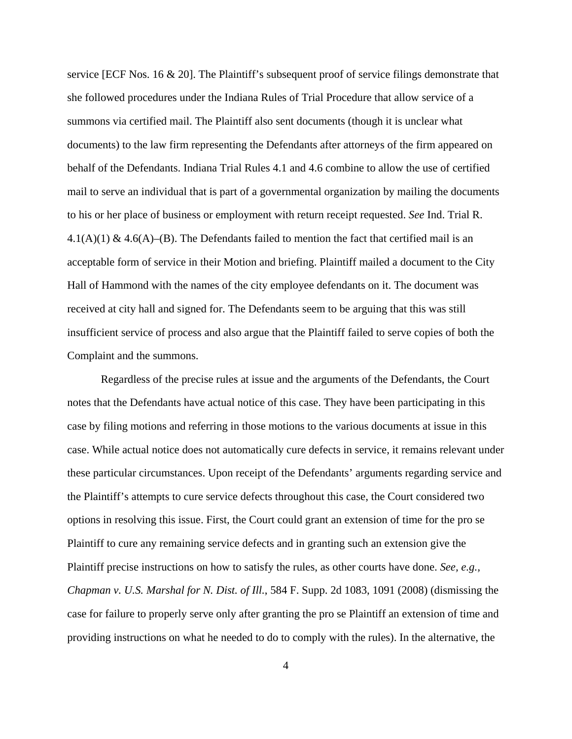service [ECF Nos. 16 & 20]. The Plaintiff's subsequent proof of service filings demonstrate that she followed procedures under the Indiana Rules of Trial Procedure that allow service of a summons via certified mail. The Plaintiff also sent documents (though it is unclear what documents) to the law firm representing the Defendants after attorneys of the firm appeared on behalf of the Defendants. Indiana Trial Rules 4.1 and 4.6 combine to allow the use of certified mail to serve an individual that is part of a governmental organization by mailing the documents to his or her place of business or employment with return receipt requested. *See* Ind. Trial R. 4.1(A)(1) & 4.6(A)–(B). The Defendants failed to mention the fact that certified mail is an acceptable form of service in their Motion and briefing. Plaintiff mailed a document to the City Hall of Hammond with the names of the city employee defendants on it. The document was received at city hall and signed for. The Defendants seem to be arguing that this was still insufficient service of process and also argue that the Plaintiff failed to serve copies of both the Complaint and the summons.

Regardless of the precise rules at issue and the arguments of the Defendants, the Court notes that the Defendants have actual notice of this case. They have been participating in this case by filing motions and referring in those motions to the various documents at issue in this case. While actual notice does not automatically cure defects in service, it remains relevant under these particular circumstances. Upon receipt of the Defendants' arguments regarding service and the Plaintiff's attempts to cure service defects throughout this case, the Court considered two options in resolving this issue. First, the Court could grant an extension of time for the pro se Plaintiff to cure any remaining service defects and in granting such an extension give the Plaintiff precise instructions on how to satisfy the rules, as other courts have done. *See, e.g., Chapman v. U.S. Marshal for N. Dist. of Ill.*, 584 F. Supp. 2d 1083, 1091 (2008) (dismissing the case for failure to properly serve only after granting the pro se Plaintiff an extension of time and providing instructions on what he needed to do to comply with the rules). In the alternative, the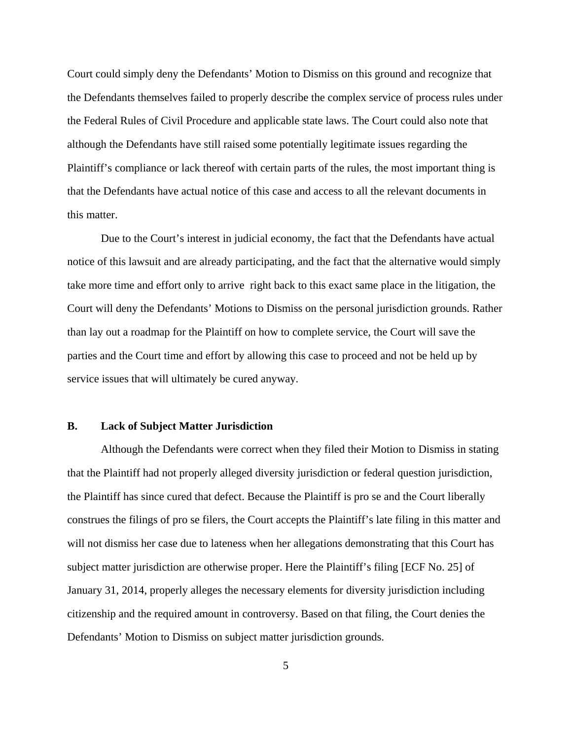Court could simply deny the Defendants' Motion to Dismiss on this ground and recognize that the Defendants themselves failed to properly describe the complex service of process rules under the Federal Rules of Civil Procedure and applicable state laws. The Court could also note that although the Defendants have still raised some potentially legitimate issues regarding the Plaintiff's compliance or lack thereof with certain parts of the rules, the most important thing is that the Defendants have actual notice of this case and access to all the relevant documents in this matter.

Due to the Court's interest in judicial economy, the fact that the Defendants have actual notice of this lawsuit and are already participating, and the fact that the alternative would simply take more time and effort only to arrive right back to this exact same place in the litigation, the Court will deny the Defendants' Motions to Dismiss on the personal jurisdiction grounds. Rather than lay out a roadmap for the Plaintiff on how to complete service, the Court will save the parties and the Court time and effort by allowing this case to proceed and not be held up by service issues that will ultimately be cured anyway.

### **B. Lack of Subject Matter Jurisdiction**

Although the Defendants were correct when they filed their Motion to Dismiss in stating that the Plaintiff had not properly alleged diversity jurisdiction or federal question jurisdiction, the Plaintiff has since cured that defect. Because the Plaintiff is pro se and the Court liberally construes the filings of pro se filers, the Court accepts the Plaintiff's late filing in this matter and will not dismiss her case due to lateness when her allegations demonstrating that this Court has subject matter jurisdiction are otherwise proper. Here the Plaintiff's filing [ECF No. 25] of January 31, 2014, properly alleges the necessary elements for diversity jurisdiction including citizenship and the required amount in controversy. Based on that filing, the Court denies the Defendants' Motion to Dismiss on subject matter jurisdiction grounds.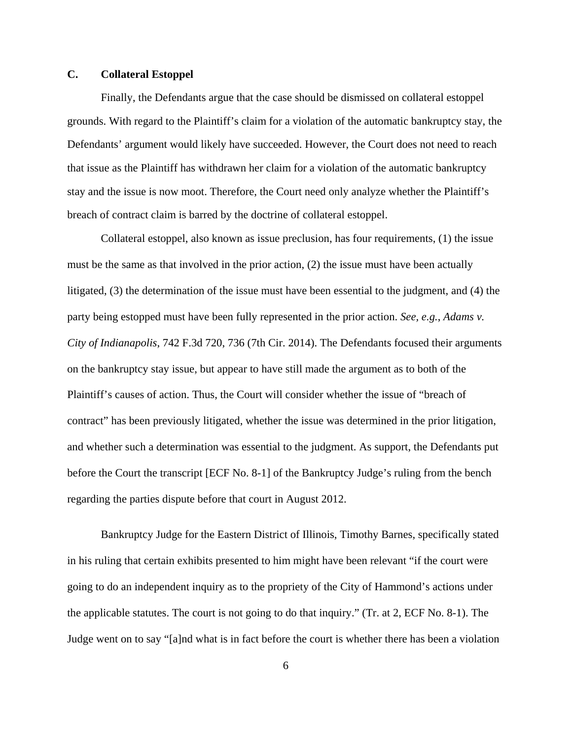## **C. Collateral Estoppel**

Finally, the Defendants argue that the case should be dismissed on collateral estoppel grounds. With regard to the Plaintiff's claim for a violation of the automatic bankruptcy stay, the Defendants' argument would likely have succeeded. However, the Court does not need to reach that issue as the Plaintiff has withdrawn her claim for a violation of the automatic bankruptcy stay and the issue is now moot. Therefore, the Court need only analyze whether the Plaintiff's breach of contract claim is barred by the doctrine of collateral estoppel.

Collateral estoppel, also known as issue preclusion, has four requirements, (1) the issue must be the same as that involved in the prior action, (2) the issue must have been actually litigated, (3) the determination of the issue must have been essential to the judgment, and (4) the party being estopped must have been fully represented in the prior action. *See, e.g.*, *Adams v. City of Indianapolis*, 742 F.3d 720, 736 (7th Cir. 2014). The Defendants focused their arguments on the bankruptcy stay issue, but appear to have still made the argument as to both of the Plaintiff's causes of action. Thus, the Court will consider whether the issue of "breach of contract" has been previously litigated, whether the issue was determined in the prior litigation, and whether such a determination was essential to the judgment. As support, the Defendants put before the Court the transcript [ECF No. 8-1] of the Bankruptcy Judge's ruling from the bench regarding the parties dispute before that court in August 2012.

Bankruptcy Judge for the Eastern District of Illinois, Timothy Barnes, specifically stated in his ruling that certain exhibits presented to him might have been relevant "if the court were going to do an independent inquiry as to the propriety of the City of Hammond's actions under the applicable statutes. The court is not going to do that inquiry." (Tr. at 2, ECF No. 8-1). The Judge went on to say "[a]nd what is in fact before the court is whether there has been a violation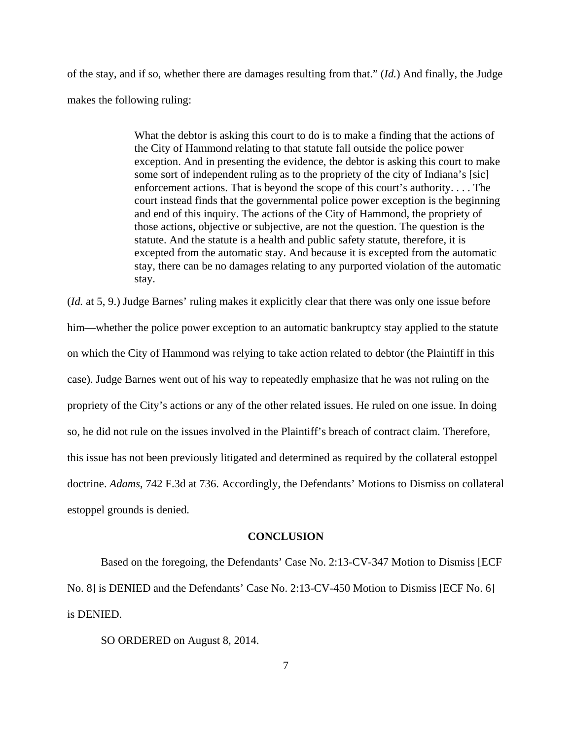of the stay, and if so, whether there are damages resulting from that." (*Id.*) And finally, the Judge makes the following ruling:

> What the debtor is asking this court to do is to make a finding that the actions of the City of Hammond relating to that statute fall outside the police power exception. And in presenting the evidence, the debtor is asking this court to make some sort of independent ruling as to the propriety of the city of Indiana's [sic] enforcement actions. That is beyond the scope of this court's authority. . . . The court instead finds that the governmental police power exception is the beginning and end of this inquiry. The actions of the City of Hammond, the propriety of those actions, objective or subjective, are not the question. The question is the statute. And the statute is a health and public safety statute, therefore, it is excepted from the automatic stay. And because it is excepted from the automatic stay, there can be no damages relating to any purported violation of the automatic stay.

(*Id.* at 5, 9.) Judge Barnes' ruling makes it explicitly clear that there was only one issue before him—whether the police power exception to an automatic bankruptcy stay applied to the statute on which the City of Hammond was relying to take action related to debtor (the Plaintiff in this case). Judge Barnes went out of his way to repeatedly emphasize that he was not ruling on the propriety of the City's actions or any of the other related issues. He ruled on one issue. In doing so, he did not rule on the issues involved in the Plaintiff's breach of contract claim. Therefore, this issue has not been previously litigated and determined as required by the collateral estoppel doctrine. *Adams*, 742 F.3d at 736. Accordingly, the Defendants' Motions to Dismiss on collateral estoppel grounds is denied.

#### **CONCLUSION**

Based on the foregoing, the Defendants' Case No. 2:13-CV-347 Motion to Dismiss [ECF No. 8] is DENIED and the Defendants' Case No. 2:13-CV-450 Motion to Dismiss [ECF No. 6] is DENIED.

SO ORDERED on August 8, 2014.